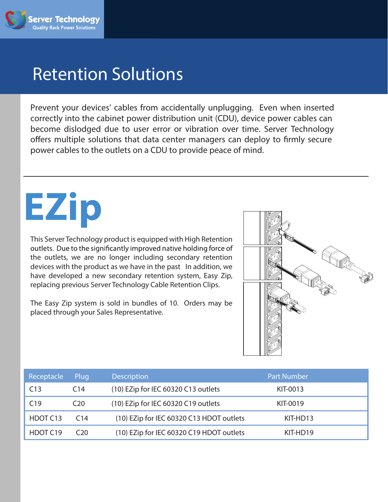

## Retention Solutions

Prevent your devices' cables from accidentally unplugging. Even when inserted correctly into the cabinet power distribution unit (CDU), device power cables can become dislodged due to user error or vibration over time. Server Technology offers multiple solutions that data center managers can deploy to firmly secure power cables to the outlets on a CDU to provide peace of mind.

# **EZip**

This Server Technology product is equipped with High Retention outlets. Due to the significantly improved native holding force of the outlets, we are no longer including secondary retention devices with the product as we have in the past In addition, we have developed a new secondary retention system, Easy Zip, replacing previous Server Technology Cable Retention Clips.

The Easy Zip system is sold in bundles of 10. Orders may be placed through your Sales Representative.



| Receptacle | Plug.           | <b>Description</b>                       | <b>Part Number</b> |
|------------|-----------------|------------------------------------------|--------------------|
| C13        | C <sub>14</sub> | (10) EZip for IEC 60320 C13 outlets      | KIT-0013           |
| C19        | C <sub>20</sub> | (10) EZip for IEC 60320 C19 outlets      | KIT-0019           |
| HDOT C13   | C14             | (10) EZip for IEC 60320 C13 HDOT outlets | KIT-HD13           |
| HDOT C19   | C20             | (10) EZip for IEC 60320 C19 HDOT outlets | KIT-HD19           |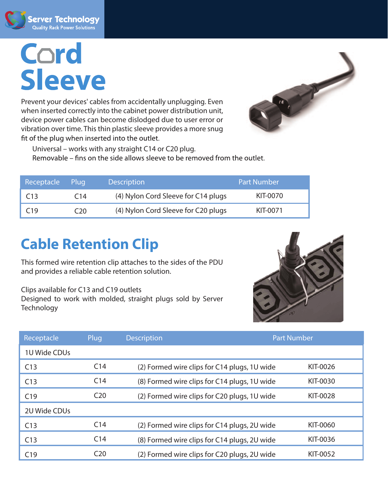

# Cord **Sleeve**

Prevent your devices' cables from accidentally unplugging. Even when inserted correctly into the cabinet power distribution unit, device power cables can become dislodged due to user error or vibration over time. This thin plastic sleeve provides a more snug fit of the plug when inserted into the outlet.



Universal – works with any straight C14 or C20 plug. Removable – fins on the side allows sleeve to be removed from the outlet.

| Receptacle      | Plua            | <b>Description</b>                  | <b>Part Number</b> |
|-----------------|-----------------|-------------------------------------|--------------------|
| C13             | C <sub>14</sub> | (4) Nylon Cord Sleeve for C14 plugs | KIT-0070           |
| C <sub>19</sub> | C20.            | (4) Nylon Cord Sleeve for C20 plugs | KIT-0071           |

### **Cable Retention Clip**

This formed wire retention clip attaches to the sides of the PDU and provides a reliable cable retention solution.

Clips available for C13 and C19 outlets Designed to work with molded, straight plugs sold by Server **Technology** 



| Receptacle   | Plug            | <b>Description</b>                           |                                              | <b>Part Number</b> |  |
|--------------|-----------------|----------------------------------------------|----------------------------------------------|--------------------|--|
| 1U Wide CDUs |                 |                                              |                                              |                    |  |
| C13          | C <sub>14</sub> | (2) Formed wire clips for C14 plugs, 1U wide |                                              | KIT-0026           |  |
| C13          | C <sub>14</sub> |                                              | (8) Formed wire clips for C14 plugs, 1U wide | KIT-0030           |  |
| C19          | C <sub>20</sub> | (2) Formed wire clips for C20 plugs, 1U wide |                                              | KIT-0028           |  |
| 2U Wide CDUs |                 |                                              |                                              |                    |  |
| C13          | C <sub>14</sub> |                                              | (2) Formed wire clips for C14 plugs, 2U wide | KIT-0060           |  |
| C13          | C <sub>14</sub> |                                              | (8) Formed wire clips for C14 plugs, 2U wide | KIT-0036           |  |
| C19          | C <sub>20</sub> |                                              | (2) Formed wire clips for C20 plugs, 2U wide | KIT-0052           |  |